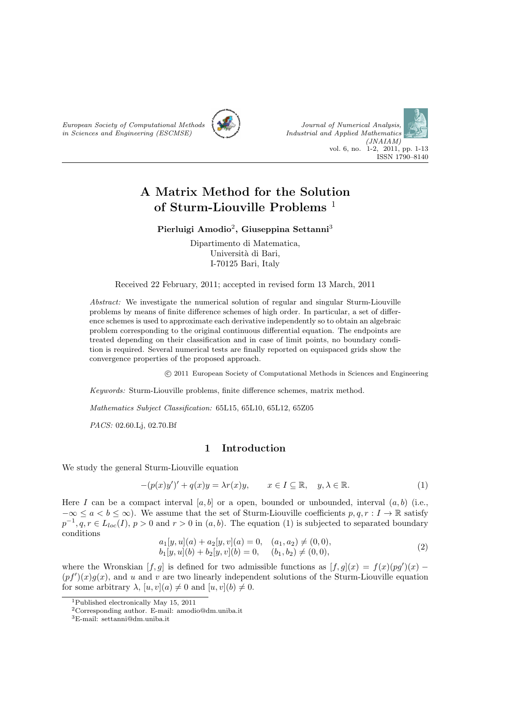



# **A Matrix Method for the Solution of Sturm-Liouville Problems** <sup>1</sup>

### **Pierluigi Amodio**<sup>2</sup> **, Giuseppina Settanni**<sup>3</sup>

Dipartimento di Matematica, Università di Bari, I-70125 Bari, Italy

Received 22 February, 2011; accepted in revised form 13 March, 2011

*Abstract:* We investigate the numerical solution of regular and singular Sturm-Liouville problems by means of finite difference schemes of high order. In particular, a set of difference schemes is used to approximate each derivative independently so to obtain an algebraic problem corresponding to the original continuous differential equation. The endpoints are treated depending on their classification and in case of limit points, no boundary condition is required. Several numerical tests are finally reported on equispaced grids show the convergence properties of the proposed approach.

*⃝*c 2011 European Society of Computational Methods in Sciences and Engineering

*Keywords:* Sturm-Liouville problems, finite difference schemes, matrix method.

*Mathematics Subject Classification:* 65L15, 65L10, 65L12, 65Z05

*PACS:* 02.60.Lj, 02.70.Bf

# **1 Introduction**

We study the general Sturm-Liouville equation

$$
-(p(x)y')' + q(x)y = \lambda r(x)y, \qquad x \in I \subseteq \mathbb{R}, \quad y, \lambda \in \mathbb{R}.
$$
 (1)

Here *I* can be a compact interval  $[a, b]$  or a open, bounded or unbounded, interval  $(a, b)$  (i.e., *−∞*  $\leq$  *a*  $lt$  *b*  $\leq$  ∞). We assume that the set of Sturm-Liouville coefficients *p, q, r* : *I* → R satisfy  $p^{-1}, q, r \in L_{loc}(I), p > 0$  and  $r > 0$  in  $(a, b)$ . The equation (1) is subjected to separated boundary conditions

$$
a_1[y, u](a) + a_2[y, v](a) = 0, \quad (a_1, a_2) \neq (0, 0), b_1[y, u](b) + b_2[y, v](b) = 0, \quad (b_1, b_2) \neq (0, 0),
$$
\n(2)

where the Wronskian  $[f, g]$  is defined for two admissible functions as  $[f, g](x) = f(x)(pg')(x) (pf')(x)g(x)$ , and *u* and *v* are two linearly independent solutions of the Sturm-Liouville equation for some arbitrary  $\lambda$ ,  $[u, v](a) \neq 0$  and  $[u, v](b) \neq 0$ .

<sup>1</sup>Published electronically May 15, 2011

<sup>2</sup>Corresponding author. E-mail: amodio@dm.uniba.it

<sup>3</sup>E-mail: settanni@dm.uniba.it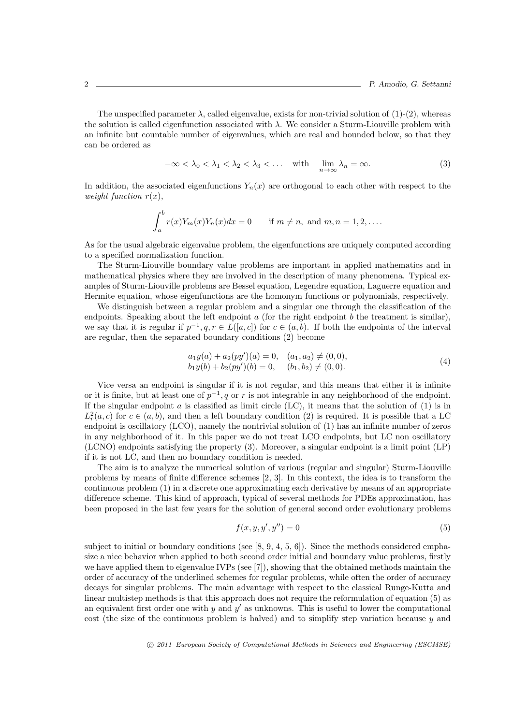The unspecified parameter  $\lambda$ , called eigenvalue, exists for non-trivial solution of  $(1)-(2)$ , whereas the solution is called eigenfunction associated with *λ*. We consider a Sturm-Liouville problem with an infinite but countable number of eigenvalues, which are real and bounded below, so that they can be ordered as

$$
-\infty < \lambda_0 < \lambda_1 < \lambda_2 < \lambda_3 < \dots \quad \text{with} \quad \lim_{n \to \infty} \lambda_n = \infty. \tag{3}
$$

In addition, the associated eigenfunctions  $Y_n(x)$  are orthogonal to each other with respect to the *weight function*  $r(x)$ ,

$$
\int_a^b r(x)Y_m(x)Y_n(x)dx = 0 \quad \text{if } m \neq n, \text{ and } m, n = 1, 2, \dots
$$

As for the usual algebraic eigenvalue problem, the eigenfunctions are uniquely computed according to a specified normalization function.

The Sturm-Liouville boundary value problems are important in applied mathematics and in mathematical physics where they are involved in the description of many phenomena. Typical examples of Sturm-Liouville problems are Bessel equation, Legendre equation, Laguerre equation and Hermite equation, whose eigenfunctions are the homonym functions or polynomials, respectively.

We distinguish between a regular problem and a singular one through the classification of the endpoints. Speaking about the left endpoint *a* (for the right endpoint *b* the treatment is similar), we say that it is regular if  $p^{-1}, q, r \in L([a, c])$  for  $c \in (a, b)$ . If both the endpoints of the interval are regular, then the separated boundary conditions (2) become

$$
a_1y(a) + a_2(py')(a) = 0, \quad (a_1, a_2) \neq (0, 0), b_1y(b) + b_2(py')(b) = 0, \quad (b_1, b_2) \neq (0, 0).
$$
\n(4)

Vice versa an endpoint is singular if it is not regular, and this means that either it is infinite or it is finite, but at least one of  $p^{-1}$ , q or r is not integrable in any neighborhood of the endpoint. If the singular endpoint  $a$  is classified as limit circle (LC), it means that the solution of  $(1)$  is in  $L_r^2(a,c)$  for  $c \in (a,b)$ , and then a left boundary condition (2) is required. It is possible that a LC endpoint is oscillatory (LCO), namely the nontrivial solution of (1) has an infinite number of zeros in any neighborhood of it. In this paper we do not treat LCO endpoints, but LC non oscillatory (LCNO) endpoints satisfying the property (3). Moreover, a singular endpoint is a limit point (LP) if it is not LC, and then no boundary condition is needed.

The aim is to analyze the numerical solution of various (regular and singular) Sturm-Liouville problems by means of finite difference schemes [2, 3]. In this context, the idea is to transform the continuous problem (1) in a discrete one approximating each derivative by means of an appropriate difference scheme. This kind of approach, typical of several methods for PDEs approximation, has been proposed in the last few years for the solution of general second order evolutionary problems

$$
f(x, y, y', y'') = 0
$$
 (5)

subject to initial or boundary conditions (see  $[8, 9, 4, 5, 6]$ ). Since the methods considered emphasize a nice behavior when applied to both second order initial and boundary value problems, firstly we have applied them to eigenvalue IVPs (see  $[7]$ ), showing that the obtained methods maintain the order of accuracy of the underlined schemes for regular problems, while often the order of accuracy decays for singular problems. The main advantage with respect to the classical Runge-Kutta and linear multistep methods is that this approach does not require the reformulation of equation (5) as an equivalent first order one with *y* and *y ′* as unknowns. This is useful to lower the computational cost (the size of the continuous problem is halved) and to simplify step variation because *y* and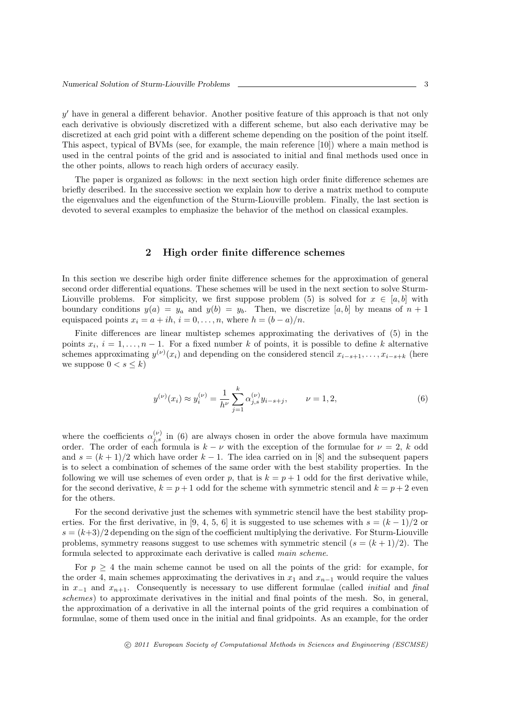*y*<sup>'</sup> have in general a different behavior. Another positive feature of this approach is that not only each derivative is obviously discretized with a different scheme, but also each derivative may be discretized at each grid point with a different scheme depending on the position of the point itself. This aspect, typical of BVMs (see, for example, the main reference [10]) where a main method is used in the central points of the grid and is associated to initial and final methods used once in the other points, allows to reach high orders of accuracy easily.

The paper is organized as follows: in the next section high order finite difference schemes are briefly described. In the successive section we explain how to derive a matrix method to compute the eigenvalues and the eigenfunction of the Sturm-Liouville problem. Finally, the last section is devoted to several examples to emphasize the behavior of the method on classical examples.

### **2 High order finite difference schemes**

In this section we describe high order finite difference schemes for the approximation of general second order differential equations. These schemes will be used in the next section to solve Sturm-Liouville problems. For simplicity, we first suppose problem (5) is solved for  $x \in [a, b]$  with boundary conditions  $y(a) = y_a$  and  $y(b) = y_b$ . Then, we discretize [a, b] by means of  $n + 1$ equispaced points  $x_i = a + ih$ ,  $i = 0, \ldots, n$ , where  $h = (b - a)/n$ .

Finite differences are linear multistep schemes approximating the derivatives of (5) in the points  $x_i$ ,  $i = 1, \ldots, n-1$ . For a fixed number k of points, it is possible to define k alternative schemes approximating  $y^{(\nu)}(x_i)$  and depending on the considered stencil  $x_{i-s+1}, \ldots, x_{i-s+k}$  (here we suppose  $0 < s < k$ )

$$
y^{(\nu)}(x_i) \approx y_i^{(\nu)} = \frac{1}{h^{\nu}} \sum_{j=1}^k \alpha_{j,s}^{(\nu)} y_{i-s+j}, \qquad \nu = 1, 2,
$$
 (6)

where the coefficients  $\alpha_{j,s}^{(\nu)}$  in (6) are always chosen in order the above formula have maximum order. The order of each formula is  $k - \nu$  with the exception of the formulae for  $\nu = 2$ , *k* odd and  $s = (k+1)/2$  which have order  $k-1$ . The idea carried on in [8] and the subsequent papers is to select a combination of schemes of the same order with the best stability properties. In the following we will use schemes of even order p, that is  $k = p + 1$  odd for the first derivative while, for the second derivative,  $k = p + 1$  odd for the scheme with symmetric stencil and  $k = p + 2$  even for the others.

For the second derivative just the schemes with symmetric stencil have the best stability properties. For the first derivative, in [9, 4, 5, 6] it is suggested to use schemes with  $s = (k - 1)/2$  or  $s = (k+3)/2$  depending on the sign of the coefficient multiplying the derivative. For Sturm-Liouville problems, symmetry reasons suggest to use schemes with symmetric stencil  $(s = (k+1)/2)$ . The formula selected to approximate each derivative is called *main scheme*.

For  $p \geq 4$  the main scheme cannot be used on all the points of the grid: for example, for the order 4, main schemes approximating the derivatives in  $x_1$  and  $x_{n-1}$  would require the values in *x−*<sup>1</sup> and *xn*+1. Consequently is necessary to use different formulae (called *initial* and *final schemes*) to approximate derivatives in the initial and final points of the mesh. So, in general, the approximation of a derivative in all the internal points of the grid requires a combination of formulae, some of them used once in the initial and final gridpoints. As an example, for the order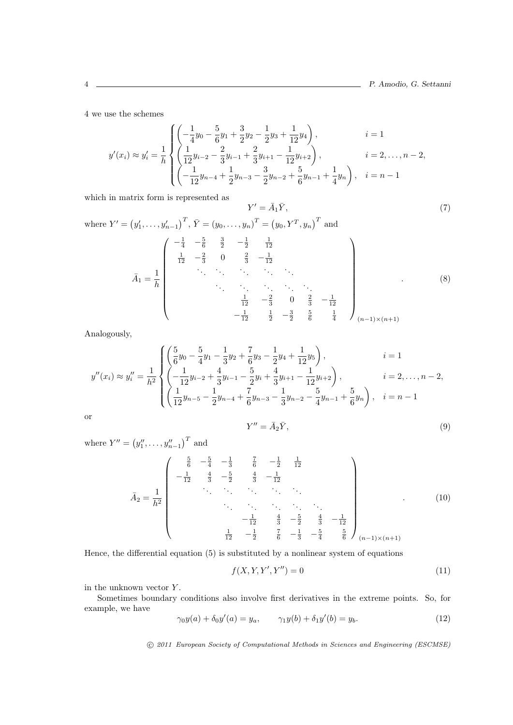4 we use the schemes

$$
y'(x_i) \approx y'_i = \frac{1}{h} \begin{cases} \left(-\frac{1}{4}y_0 - \frac{5}{6}y_1 + \frac{3}{2}y_2 - \frac{1}{2}y_3 + \frac{1}{12}y_4\right), & i = 1\\ \left(\frac{1}{12}y_{i-2} - \frac{2}{3}y_{i-1} + \frac{2}{3}y_{i+1} - \frac{1}{12}y_{i+2}\right), & i = 2, \dots, n-2, \\ \left(-\frac{1}{12}y_{n-4} + \frac{1}{2}y_{n-3} - \frac{3}{2}y_{n-2} + \frac{5}{6}y_{n-1} + \frac{1}{4}y_n\right), & i = n-1 \end{cases}
$$

 $Y' = \overline{A}$ 

which in matrix form is represented as

$$
{}_{1}\bar{Y},\tag{7}
$$

where 
$$
Y' = (y'_1, ..., y'_{n-1})^T
$$
,  $\bar{Y} = (y_0, ..., y_n)^T = (y_0, Y^T, y_n)^T$  and  
\n
$$
\bar{A}_1 = \frac{1}{h} \begin{pmatrix} -\frac{1}{4} & -\frac{5}{6} & \frac{3}{2} & -\frac{1}{2} & \frac{1}{12} \\ \frac{1}{12} & -\frac{2}{3} & 0 & \frac{2}{3} & -\frac{1}{12} \\ \vdots & \vdots & \ddots & \vdots & \ddots & \vdots \\ \vdots & \vdots & \ddots & \vdots & \ddots & \vdots \\ \frac{1}{12} & -\frac{2}{3} & 0 & \frac{2}{3} & -\frac{1}{12} \\ \frac{1}{12} & \frac{1}{2} & -\frac{3}{2} & \frac{5}{6} & \frac{1}{4} \end{pmatrix}_{(n-1)\times(n+1)}
$$
\n(8)

Analogously,

$$
y''(x_i) \approx y_i'' = \frac{1}{h^2} \begin{cases} \left(\frac{5}{6}y_0 - \frac{5}{4}y_1 - \frac{1}{3}y_2 + \frac{7}{6}y_3 - \frac{1}{2}y_4 + \frac{1}{12}y_5\right), & i = 1\\ \left(-\frac{1}{12}y_{i-2} + \frac{4}{3}y_{i-1} - \frac{5}{2}y_i + \frac{4}{3}y_{i+1} - \frac{1}{12}y_{i+2}\right), & i = 2, \dots, n-2, \\ \left(\frac{1}{12}y_{n-5} - \frac{1}{2}y_{n-4} + \frac{7}{6}y_{n-3} - \frac{1}{3}y_{n-2} - \frac{5}{4}y_{n-1} + \frac{5}{6}y_n\right), & i = n-1 \end{cases}
$$

or

$$
Y'' = \bar{A}_2 \bar{Y},\tag{9}
$$

where  $Y'' = (y''_1, \ldots, y''_{n-1})^T$  and

$$
\bar{A}_2 = \frac{1}{h^2} \begin{pmatrix} \frac{5}{6} & -\frac{5}{4} & -\frac{1}{3} & \frac{7}{6} & -\frac{1}{2} & \frac{1}{12} \\ -\frac{1}{12} & \frac{4}{3} & -\frac{5}{2} & \frac{4}{3} & -\frac{1}{12} \\ \vdots & \vdots & \vdots & \ddots & \vdots \\ \frac{1}{12} & -\frac{1}{2} & \frac{4}{3} & -\frac{5}{2} & \frac{4}{3} & -\frac{1}{12} \\ \frac{1}{12} & -\frac{1}{2} & \frac{7}{6} & -\frac{1}{3} & -\frac{5}{4} & \frac{5}{6} \end{pmatrix}_{(n-1)\times(n+1)}
$$
(10)

Hence, the differential equation (5) is substituted by a nonlinear system of equations

$$
f(X, Y, Y', Y'') = 0\tag{11}
$$

in the unknown vector *Y* .

Sometimes boundary conditions also involve first derivatives in the extreme points. So, for example, we have

$$
\gamma_0 y(a) + \delta_0 y'(a) = y_a, \qquad \gamma_1 y(b) + \delta_1 y'(b) = y_b.
$$
 (12)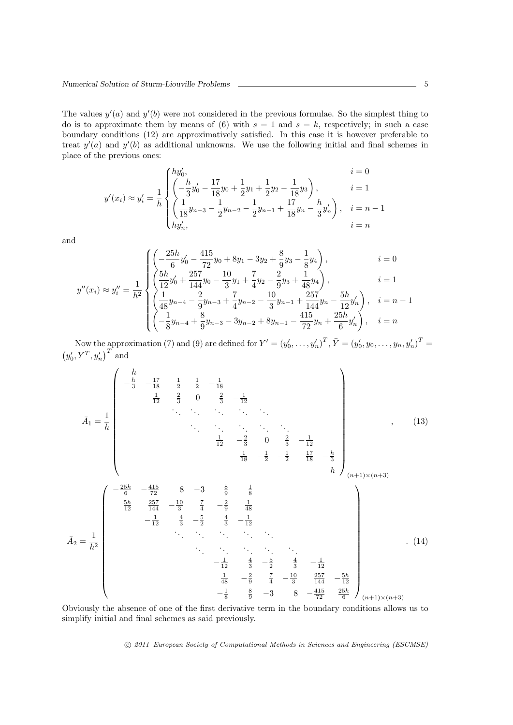The values  $y'(a)$  and  $y'(b)$  were not considered in the previous formulae. So the simplest thing to do is to approximate them by means of (6) with  $s = 1$  and  $s = k$ , respectively; in such a case boundary conditions (12) are approximatively satisfied. In this case it is however preferable to treat  $y'(a)$  and  $y'(b)$  as additional unknowns. We use the following initial and final schemes in place of the previous ones:

$$
y'(x_i) \approx y'_i = \frac{1}{h} \begin{cases} hy'_0, & i = 0\\ \left(-\frac{h}{3}y'_0 - \frac{17}{18}y_0 + \frac{1}{2}y_1 + \frac{1}{2}y_2 - \frac{1}{18}y_3\right), & i = 1\\ \left(\frac{1}{18}y_{n-3} - \frac{1}{2}y_{n-2} - \frac{1}{2}y_{n-1} + \frac{17}{18}y_n - \frac{h}{3}y'_n\right), & i = n - 1\\ hy'_n, & i = n \end{cases}
$$

and

$$
y''(x_i) \approx y_i'' = \frac{1}{h^2} \begin{cases} \left( \frac{25h}{6} y_0' - \frac{415}{72} y_0 + 8y_1 - 3y_2 + \frac{8}{9} y_3 - \frac{1}{8} y_4 \right), & i = 0\\ \left( \frac{5h}{12} y_0' + \frac{257}{144} y_0 - \frac{10}{3} y_1 + \frac{7}{4} y_2 - \frac{2}{9} y_3 + \frac{1}{48} y_4 \right), & i = 1\\ \left( \frac{1}{48} y_{n-4} - \frac{2}{9} y_{n-3} + \frac{7}{4} y_{n-2} - \frac{10}{3} y_{n-1} + \frac{257}{144} y_n - \frac{5h}{12} y_n' \right), & i = n - 1\\ \left( -\frac{1}{8} y_{n-4} + \frac{8}{9} y_{n-3} - 3y_{n-2} + 8 y_{n-1} - \frac{415}{72} y_n + \frac{25h}{6} y_n' \right), & i = n \end{cases}
$$

Now the approximation (7) and (9) are defined for  $Y' = (y'_0, \ldots, y'_n)^T$ ,  $\overline{Y} = (y'_0, y_0, \ldots, y_n, y'_n)^T =$  $(y'_0, Y^T, y'_n)^T$  and

$$
\bar{A}_1 = \frac{1}{h}
$$
\n
$$
\bar{A}_1 = \frac{1}{h}
$$
\n
$$
\frac{1}{12} - \frac{2}{3} = \frac{1}{2} - \frac{1}{18}
$$
\n
$$
\frac{1}{12} - \frac{2}{3} = \frac{1}{3} - \frac{1}{12}
$$
\n
$$
\frac{1}{12} - \frac{2}{3} = \frac{1}{3} - \frac{1}{2} - \frac{1}{2} - \frac{1}{2} - \frac{1}{2} - \frac{1}{2} - \frac{1}{2} - \frac{1}{2} - \frac{1}{2} - \frac{1}{2} - \frac{1}{2} - \frac{1}{2} - \frac{1}{2} - \frac{1}{2} - \frac{1}{2} - \frac{1}{2} - \frac{1}{2} - \frac{1}{2} - \frac{1}{2} - \frac{1}{2} - \frac{1}{2} - \frac{1}{2} - \frac{1}{2} - \frac{1}{2} - \frac{1}{2} - \frac{1}{2} - \frac{1}{2} - \frac{1}{2} - \frac{1}{2} - \frac{1}{2} - \frac{1}{2} - \frac{1}{2} - \frac{1}{2} - \frac{1}{2} - \frac{1}{2} - \frac{1}{2} - \frac{1}{2} - \frac{1}{2} - \frac{1}{2} - \frac{1}{2} - \frac{1}{2} - \frac{1}{2} - \frac{1}{2} - \frac{1}{2} - \frac{1}{2} - \frac{1}{2} - \frac{1}{2} - \frac{1}{2} - \frac{1}{2} - \frac{1}{2} - \frac{1}{2} - \frac{1}{2} - \frac{1}{2} - \frac{1}{2} - \frac{1}{2} - \frac{1}{2} - \frac{1}{3} - \frac{2}{3} - \frac{1}{4} - \frac{1}{3} - \frac{257}{144} - \frac{55}{12} - \frac{1}{8} - \frac{257}{9} - \frac{1}{3} - \frac{257}{12} - \frac{55}{12} - \frac{1}{8} - \frac{257}{9} - \frac{1}{4} - \frac{1}{12} - \frac{257}{12} - \frac{1}{2} - \frac{1}{2} - \frac{1}{2
$$

Obviously the absence of one of the first derivative term in the boundary conditions allows us to simplify initial and final schemes as said previously.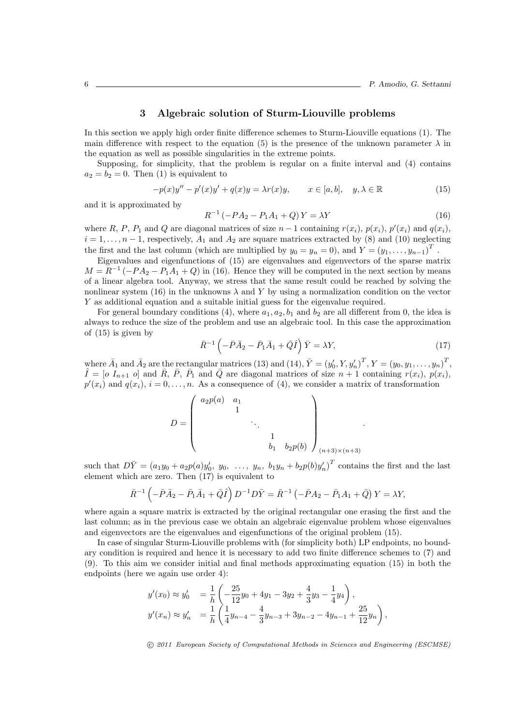# **3 Algebraic solution of Sturm-Liouville problems**

In this section we apply high order finite difference schemes to Sturm-Liouville equations (1). The main difference with respect to the equation (5) is the presence of the unknown parameter  $\lambda$  in the equation as well as possible singularities in the extreme points.

Supposing, for simplicity, that the problem is regular on a finite interval and (4) contains  $a_2 = b_2 = 0$ . Then (1) is equivalent to

$$
-p(x)y'' - p'(x)y' + q(x)y = \lambda r(x)y, \qquad x \in [a, b], \quad y, \lambda \in \mathbb{R}
$$
 (15)

and it is approximated by

$$
R^{-1}(-PA_2 - P_1A_1 + Q)Y = \lambda Y \tag{16}
$$

where R, P, P<sub>1</sub> and Q are diagonal matrices of size  $n-1$  containing  $r(x_i)$ ,  $p(x_i)$ ,  $p'(x_i)$  and  $q(x_i)$ ,  $i = 1, \ldots, n-1$ , respectively,  $A_1$  and  $A_2$  are square matrices extracted by (8) and (10) neglecting the first and the last column (which are multiplied by  $y_0 = y_n = 0$ ), and  $Y = (y_1, \ldots, y_{n-1})^T$ .

Eigenvalues and eigenfunctions of (15) are eigenvalues and eigenvectors of the sparse matrix  $M = R^{-1}(-PA_2 - P_1A_1 + Q)$  in (16). Hence they will be computed in the next section by means of a linear algebra tool. Anyway, we stress that the same result could be reached by solving the nonlinear system (16) in the unknowns  $\lambda$  and Y by using a normalization condition on the vector *Y* as additional equation and a suitable initial guess for the eigenvalue required.

For general boundary conditions (4), where  $a_1, a_2, b_1$  and  $b_2$  are all different from 0, the idea is always to reduce the size of the problem and use an algebraic tool. In this case the approximation of (15) is given by

$$
\bar{R}^{-1}\left(-\bar{P}\bar{A}_2-\bar{P}_1\bar{A}_1+\bar{Q}\hat{I}\right)\bar{Y}=\lambda Y,\tag{17}
$$

*.*

where  $\bar{A}_1$  and  $\bar{A}_2$  are the rectangular matrices (13) and (14),  $\bar{Y} = (y'_0, Y, y'_n)^T, Y = (y_0, y_1, \ldots, y_n)^T$ ,  $\hat{I} = [o I_{n+1} o]$  and  $\overline{R}$ ,  $\overline{P}$ ,  $\overline{P}_1$  and  $\overline{Q}$  are diagonal matrices of size  $n+1$  containing  $r(x_i)$ ,  $p(x_i)$ ,  $p'(x_i)$  and  $q(x_i)$ ,  $i = 0, \ldots, n$ . As a consequence of (4), we consider a matrix of transformation

$$
D = \begin{pmatrix} a_2 p(a) & a_1 & & & \\ & 1 & & & \\ & & \ddots & & \\ & & & 1 & \\ & & & b_1 & b_2 p(b) \end{pmatrix}_{(n+3)\times(n+3)}
$$

such that  $D\overline{Y} = (a_1y_0 + a_2p(a)y'_0, y_0, \ldots, y_n, b_1y_n + b_2p(b)y'_n)^T$  contains the first and the last element which are zero. Then (17) is equivalent to

$$
\bar{R}^{-1} \left( -\bar{P}\bar{A}_2 - \bar{P}_1\bar{A}_1 + \bar{Q}\hat{I} \right) D^{-1} D \bar{Y} = \bar{R}^{-1} \left( -\bar{P}A_2 - \bar{P}_1A_1 + \bar{Q} \right) Y = \lambda Y,
$$

where again a square matrix is extracted by the original rectangular one erasing the first and the last column; as in the previous case we obtain an algebraic eigenvalue problem whose eigenvalues and eigenvectors are the eigenvalues and eigenfunctions of the original problem (15).

In case of singular Sturm-Liouville problems with (for simplicity both) LP endpoints, no boundary condition is required and hence it is necessary to add two finite difference schemes to (7) and (9). To this aim we consider initial and final methods approximating equation (15) in both the endpoints (here we again use order 4):

$$
y'(x_0) \approx y'_0 = \frac{1}{h} \left( -\frac{25}{12}y_0 + 4y_1 - 3y_2 + \frac{4}{3}y_3 - \frac{1}{4}y_4 \right),
$$
  

$$
y'(x_n) \approx y'_n = \frac{1}{h} \left( \frac{1}{4}y_{n-4} - \frac{4}{3}y_{n-3} + 3y_{n-2} - 4y_{n-1} + \frac{25}{12}y_n \right),
$$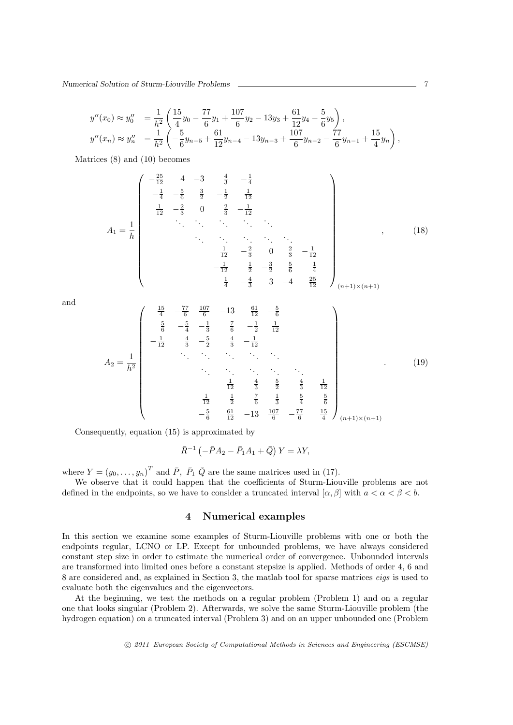*Numerical Solution of Sturm-Liouville Problems* 7

$$
y''(x_0) \approx y_0'' = \frac{1}{h^2} \left( \frac{15}{4} y_0 - \frac{77}{6} y_1 + \frac{107}{6} y_2 - 13 y_3 + \frac{61}{12} y_4 - \frac{5}{6} y_5 \right),
$$
  

$$
y''(x_n) \approx y_n'' = \frac{1}{h^2} \left( -\frac{5}{6} y_{n-5} + \frac{61}{12} y_{n-4} - 13 y_{n-3} + \frac{107}{6} y_{n-2} - \frac{77}{6} y_{n-1} + \frac{15}{4} y_n \right),
$$

Matrices (8) and (10) becomes

$$
A_{1} = \frac{1}{h}
$$
\n
$$
\begin{pmatrix}\n-\frac{25}{12} & 4 & -3 & \frac{4}{3} & -\frac{1}{4} \\
-\frac{1}{4} & -\frac{5}{6} & \frac{3}{2} & -\frac{1}{2} & \frac{1}{12} \\
\frac{1}{12} & -\frac{2}{3} & 0 & \frac{2}{3} & -\frac{1}{12} \\
\vdots & \vdots & \ddots & \vdots & \ddots & \vdots \\
& & \ddots & \ddots & \ddots & \ddots \\
& & & \ddots & \ddots & \ddots \\
& & & & \frac{1}{12} & -\frac{2}{3} & 0 & \frac{2}{3} & -\frac{1}{12} \\
& & & & & -\frac{1}{12} & \frac{1}{2} & -\frac{3}{2} & \frac{5}{6} & \frac{1}{4} \\
& & & & & \frac{1}{4} & -\frac{4}{3} & 3 & -4 & \frac{25}{12}\n\end{pmatrix}_{(n+1)\times(n+1)}
$$
\n(18)

and

$$
A_2 = \frac{1}{h^2}
$$
\n
$$
\begin{pmatrix}\n\frac{15}{4} & -\frac{77}{6} & \frac{107}{6} & -13 & \frac{61}{12} & -\frac{5}{6} \\
\frac{5}{6} & -\frac{5}{4} & -\frac{1}{3} & \frac{7}{6} & -\frac{1}{2} & \frac{1}{12} \\
-\frac{1}{12} & \frac{4}{3} & -\frac{5}{2} & \frac{4}{3} & -\frac{1}{12} \\
\vdots & \vdots & \vdots & \ddots & \vdots & \ddots & \vdots \\
-\frac{1}{12} & \frac{4}{3} & -\frac{5}{2} & \frac{4}{3} & -\frac{1}{12} \\
-\frac{1}{12} & -\frac{1}{2} & \frac{7}{6} & -\frac{1}{3} & -\frac{5}{4} & \frac{5}{6} \\
-\frac{5}{6} & \frac{61}{12} & -13 & \frac{107}{6} & -\frac{77}{6} & \frac{15}{4}\n\end{pmatrix}
$$
\n
$$
(19)
$$

Consequently, equation (15) is approximated by

$$
\bar{R}^{-1} \left( -\bar{P}A_2 - \bar{P}_1A_1 + \bar{Q} \right) Y = \lambda Y,
$$

where  $Y = (y_0, \ldots, y_n)^T$  and  $\overline{P}$ ,  $\overline{P}_1$   $\overline{Q}$  are the same matrices used in (17).

We observe that it could happen that the coefficients of Sturm-Liouville problems are not defined in the endpoints, so we have to consider a truncated interval  $[\alpha, \beta]$  with  $a < \alpha < \beta < b$ .

#### **4 Numerical examples**

In this section we examine some examples of Sturm-Liouville problems with one or both the endpoints regular, LCNO or LP. Except for unbounded problems, we have always considered constant step size in order to estimate the numerical order of convergence. Unbounded intervals are transformed into limited ones before a constant stepsize is applied. Methods of order 4, 6 and 8 are considered and, as explained in Section 3, the matlab tool for sparse matrices *eigs* is used to evaluate both the eigenvalues and the eigenvectors.

At the beginning, we test the methods on a regular problem (Problem 1) and on a regular one that looks singular (Problem 2). Afterwards, we solve the same Sturm-Liouville problem (the hydrogen equation) on a truncated interval (Problem 3) and on an upper unbounded one (Problem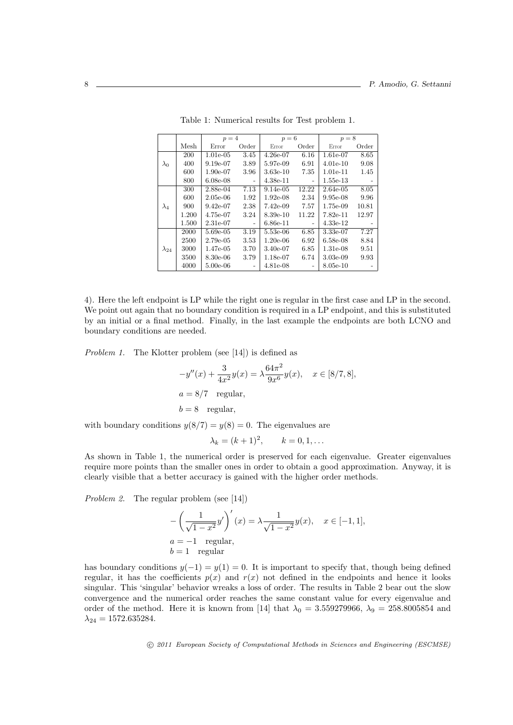|                |       | $p=4$       |                          | $p=6$       |       | $p=8$      |       |
|----------------|-------|-------------|--------------------------|-------------|-------|------------|-------|
|                | Mesh  | Error       | Order                    | Error       | Order | Error      | Order |
|                | 200   | $1.01e-0.5$ | 3.45                     | $4.26e-07$  | 6.16  | 1.61e-07   | 8.65  |
| $\lambda_0$    | 400   | 9.19e-07    | 3.89                     | 5.97e-09    | 6.91  | $4.01e-10$ | 9.08  |
|                | 600   | $1.90e-07$  | 3.96                     | $3.63e-10$  | 7.35  | $1.01e-11$ | 1.45  |
|                | 800   | $6.08e-08$  |                          | $4.38e-11$  | -     | $1.55e-13$ |       |
|                | 300   | 2.88e-04    | 7.13                     | $9.14e-0.5$ | 12.22 | 2.64e-05   | 8.05  |
|                | 600   | $2.05e-06$  | 1.92                     | $1.92e-08$  | 2.34  | $9.95e-08$ | 9.96  |
| $\lambda_4$    | 900   | $9.42e-07$  | 2.38                     | $7.42e-09$  | 7.57  | 1.75e-09   | 10.81 |
|                | 1.200 | 4.75e-07    | 3.24                     | 8.39e-10    | 11.22 | $7.82e-11$ | 12.97 |
|                | 1.500 | 2.31e-07    | $\overline{\phantom{a}}$ | $6.86e-11$  |       | $4.33e-12$ |       |
|                | 2000  | 5.69e-05    | 3.19                     | 5.53e-06    | 6.85  | 3.33e-07   | 7.27  |
|                | 2500  | $2.79e-0.5$ | 3.53                     | $1.20e-06$  | 6.92  | $6.58e-08$ | 8.84  |
| $\lambda_{24}$ | 3000  | 1.47e-05    | 3.70                     | $3.40e-07$  | 6.85  | $1.31e-08$ | 9.51  |
|                | 3500  | 8.30e-06    | 3.79                     | 1.18e-07    | 6.74  | $3.03e-09$ | 9.93  |
|                | 4000  | $5.00e-06$  |                          | $4.81e-08$  |       | 8.05e-10   |       |

Table 1: Numerical results for Test problem 1.

4). Here the left endpoint is LP while the right one is regular in the first case and LP in the second. We point out again that no boundary condition is required in a LP endpoint, and this is substituted by an initial or a final method. Finally, in the last example the endpoints are both LCNO and boundary conditions are needed.

*Problem 1.* The Klotter problem (see [14]) is defined as

$$
-y''(x) + \frac{3}{4x^2}y(x) = \lambda \frac{64\pi^2}{9x^6}y(x), \quad x \in [8/7, 8],
$$
  

$$
a = 8/7 \text{ regular},
$$
  

$$
b = 8 \text{ regular},
$$

with boundary conditions  $y(8/7) = y(8) = 0$ . The eigenvalues are

$$
\lambda_k = (k+1)^2, \qquad k = 0, 1, \dots
$$

As shown in Table 1, the numerical order is preserved for each eigenvalue. Greater eigenvalues require more points than the smaller ones in order to obtain a good approximation. Anyway, it is clearly visible that a better accuracy is gained with the higher order methods.

*Problem 2.* The regular problem (see [14])

$$
-\left(\frac{1}{\sqrt{1-x^2}}y'\right)'(x) = \lambda \frac{1}{\sqrt{1-x^2}}y(x), \quad x \in [-1,1],
$$
  
\n
$$
a = -1 \quad \text{regular},
$$
  
\n
$$
b = 1 \quad \text{regular}
$$

has boundary conditions  $y(-1) = y(1) = 0$ . It is important to specify that, though being defined regular, it has the coefficients  $p(x)$  and  $r(x)$  not defined in the endpoints and hence it looks singular. This 'singular' behavior wreaks a loss of order. The results in Table 2 bear out the slow convergence and the numerical order reaches the same constant value for every eigenvalue and order of the method. Here it is known from [14] that  $\lambda_0 = 3.559279966$ ,  $\lambda_9 = 258.8005854$  and  $\lambda_{24} = 1572.635284.$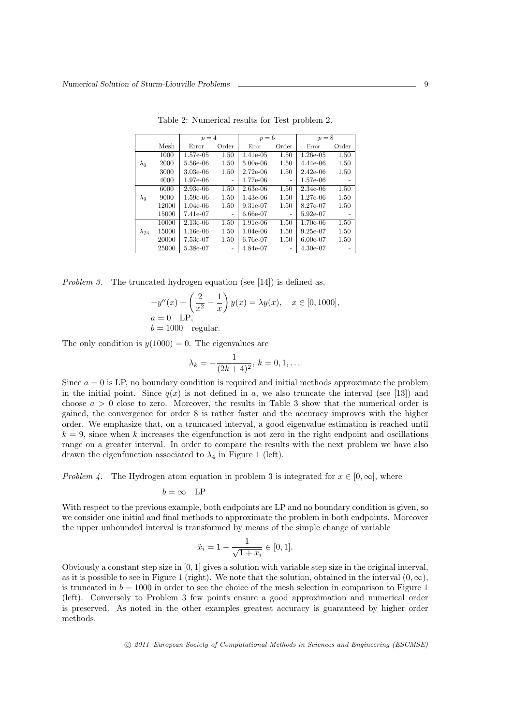|                |       | $p=4$       |                          | $p=6$       |                          | $p=8$       |                          |
|----------------|-------|-------------|--------------------------|-------------|--------------------------|-------------|--------------------------|
|                |       |             |                          |             |                          |             |                          |
|                | Mesh  | Error       | Order                    | Error       | Order                    | Error       | Order                    |
|                | 1000  | $1.57e-0.5$ | 1.50                     | $1.41e-0.5$ | 1.50                     | $1.26e-0.5$ | 1.50                     |
| $\lambda_0$    | 2000  | 5.56e-06    | 1.50                     | $5.00e-06$  | 1.50                     | $4.44e-06$  | 1.50                     |
|                | 3000  | $3.03e-06$  | 1.50                     | $2.72e-06$  | 1.50                     | $2.42e-06$  | 1.50                     |
|                | 4000  | $1.97e-06$  | $\overline{\phantom{a}}$ | 1.77e-06    | $\overline{\phantom{a}}$ | 1.57e-06    | $\overline{\phantom{0}}$ |
|                | 6000  | $2.93e-06$  | 1.50                     | $2.63e-06$  | 1.50                     | $2.34e-06$  | 1.50                     |
| $\lambda_{9}$  | 9000  | $1.59e-06$  | 1.50                     | $1.43e-06$  | 1.50                     | $1.27e-06$  | 1.50                     |
|                | 12000 | $1.04e-06$  | 1.50                     | $9.31e-07$  | 1.50                     | 8.27e-07    | 1.50                     |
|                | 15000 | 7.41e-07    | $\overline{\phantom{a}}$ | $6.66e-07$  | $\overline{\phantom{0}}$ | $5.92e-07$  |                          |
|                | 10000 | $2.13e-06$  | 1.50                     | $1.91e-06$  | 1.50                     | $1.70e-06$  | 1.50                     |
| $\lambda_{24}$ | 15000 | $1.16e-06$  | 1.50                     | $1.04e-06$  | 1.50                     | $9.25e-07$  | 1.50                     |
|                | 20000 | 7.53e-07    | 1.50                     | 6.76e-07    | 1.50                     | $6.00e-07$  | 1.50                     |
|                | 25000 | 5.38e-07    |                          | 4.84e-07    | $\overline{\phantom{0}}$ | $4.30e-07$  | ۰                        |

Table 2: Numerical results for Test problem 2.

*Problem 3.* The truncated hydrogen equation (see [14]) is defined as,

$$
-y''(x) + \left(\frac{2}{x^2} - \frac{1}{x}\right)y(x) = \lambda y(x), \quad x \in [0, 1000],
$$
  
\n $a = 0$  LP,  
\n $b = 1000$  regular.

The only condition is  $y(1000) = 0$ . The eigenvalues are

$$
\lambda_k = -\frac{1}{(2k+4)^2}, \, k = 0, 1, \dots
$$

Since  $a = 0$  is LP, no boundary condition is required and initial methods approximate the problem in the initial point. Since  $q(x)$  is not defined in a, we also truncate the interval (see [13]) and choose  $a > 0$  close to zero. Moreover, the results in Table 3 show that the numerical order is gained, the convergence for order 8 is rather faster and the accuracy improves with the higher order. We emphasize that, on a truncated interval, a good eigenvalue estimation is reached until  $k = 9$ , since when k increases the eigenfunction is not zero in the right endpoint and oscillations range on a greater interval. In order to compare the results with the next problem we have also drawn the eigenfunction associated to  $\lambda_4$  in Figure 1 (left).

*Problem 4.* The Hydrogen atom equation in problem 3 is integrated for  $x \in [0, \infty]$ , where

$$
b = \infty
$$
 LP

With respect to the previous example, both endpoints are LP and no boundary condition is given, so we consider one initial and final methods to approximate the problem in both endpoints. Moreover the upper unbounded interval is transformed by means of the simple change of variable

$$
\tilde{x}_i = 1 - \frac{1}{\sqrt{1 + x_i}} \in [0, 1].
$$

Obviously a constant step size in [0*,* 1] gives a solution with variable step size in the original interval, as it is possible to see in Figure 1 (right). We note that the solution, obtained in the interval  $(0, \infty)$ , is truncated in  $b = 1000$  in order to see the choice of the mesh selection in comparison to Figure 1 (left). Conversely to Problem 3 few points ensure a good approximation and numerical order is preserved. As noted in the other examples greatest accuracy is guaranteed by higher order methods.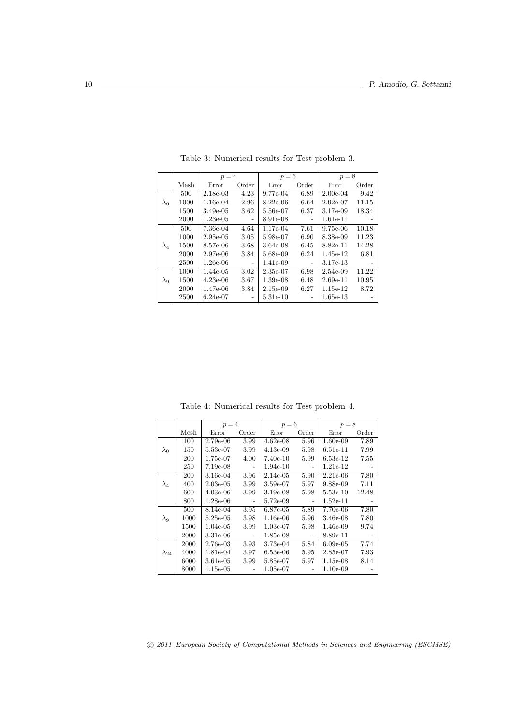|               |      | $p=4$       |       | $p=6$       |                          | $p=8$      |       |
|---------------|------|-------------|-------|-------------|--------------------------|------------|-------|
|               | Mesh | Error       | Order | Error       | Order                    | Error      | Order |
|               | 500  | $2.18e-03$  | 4.23  | 9.77e-04    | 6.89                     | $2.00e-04$ | 9.42  |
| $\lambda_0$   | 1000 | 1.16e-04    | 2.96  | $8.22e-06$  | 6.64                     | $2.92e-07$ | 11.15 |
|               | 1500 | $3.49e-0.5$ | 3.62  | 5.56e-07    | 6.37                     | 3.17e-09   | 18.34 |
|               | 2000 | $1.23e-0.5$ |       | 8.91e-08    | ۰                        | 1.61e-11   |       |
| $\lambda_4$   | 500  | 7.36e-04    | 4.64  | 1.17e-04    | 7.61                     | $9.75e-06$ | 10.18 |
|               | 1000 | $2.95e-0.5$ | 3.05  | 5.98e-07    | 6.90                     | 8.38e-09   | 11.23 |
|               | 1500 | 8.57e-06    | 3.68  | $3.64e-08$  | 6.45                     | 8.82e-11   | 14.28 |
|               | 2000 | $2.97e-06$  | 3.84  | 5.68e-09    | 6.24                     | 1.45e-12   | 6.81  |
|               | 2500 | $1.26e-06$  | -     | $1.41e-0.9$ | $\overline{\phantom{a}}$ | 3.17e-13   |       |
|               | 1000 | $1.44e-0.5$ | 3.02  | $2.35e-07$  | 6.98                     | 2.54e-09   | 11.22 |
| $\lambda_{9}$ | 1500 | $4.23e-06$  | 3.67  | $1.39e-08$  | 6.48                     | $2.69e-11$ | 10.95 |
|               | 2000 | 1.47e-06    | 3.84  | $2.15e-0.9$ | 6.27                     | $1.15e-12$ | 8.72  |
|               | 2500 | $6.24e-07$  | -     | 5.31e-10    | ۰                        | $1.65e-13$ |       |

Table 3: Numerical results for Test problem 3.

Table 4: Numerical results for Test problem 4.

|                |      | $p=4$       |                | $p=6$       |                | $p=8$       |       |
|----------------|------|-------------|----------------|-------------|----------------|-------------|-------|
|                | Mesh | Error       | Order          | Error       | Order          | Error       | Order |
|                | 100  | 2.79e-06    | 3.99           | $4.62e-08$  | 5.96           | $1.60e-09$  | 7.89  |
| $\lambda_0$    | 150  | 5.53e-07    | 3.99           | $4.13e-09$  | 5.98           | $6.51e-11$  | 7.99  |
|                | 200  | 1.75e-07    | 4.00           | $7.40e-10$  | 5.99           | $6.53e-12$  | 7.55  |
|                | 250  | 7.19e-08    | $\overline{a}$ | $1.94e-10$  | $\overline{a}$ | $1.21e-12$  |       |
|                | 200  | $3.16e-04$  | 3.96           | $2.14e-0.5$ | 5.90           | $2.21e-06$  | 7.80  |
| $\lambda_4$    | 400  | $2.03e-05$  | 3.99           | $3.59e-07$  | 5.97           | 9.88e-09    | 7.11  |
|                | 600  | $4.03e-06$  | 3.99           | $3.19e-08$  | 5.98           | $5.53e-10$  | 12.48 |
|                | 800  | $1.28e-06$  |                | 5.72e-09    |                | $1.52e-11$  |       |
|                | 500  | 8.14e-04    | 3.95           | 6.87e-05    | 5.89           | 7.70e-06    | 7.80  |
| $\lambda_9$    | 1000 | $5.25e-0.5$ | 3.98           | $1.16e-06$  | 5.96           | $3.46e-08$  | 7.80  |
|                | 1500 | $1.04e-05$  | 3.99           | $1.03e-07$  | 5.98           | $1.46e-09$  | 9.74  |
|                | 2000 | 3.31e-06    | ۰              | $1.85e-08$  |                | 8.89e-11    |       |
|                | 2000 | 2.76e-03    | 3.93           | 3.73e-04    | 5.84           | $6.09e-05$  | 7.74  |
| $\lambda_{24}$ | 4000 | 1.81e-04    | 3.97           | $6.53e-06$  | 5.95           | 2.85e-07    | 7.93  |
|                | 6000 | 3.61e-05    | 3.99           | 5.85e-07    | 5.97           | $1.15e-08$  | 8.14  |
|                | 8000 | 1.15e-05    |                | 1.05e-07    |                | $1.10e-0.9$ |       |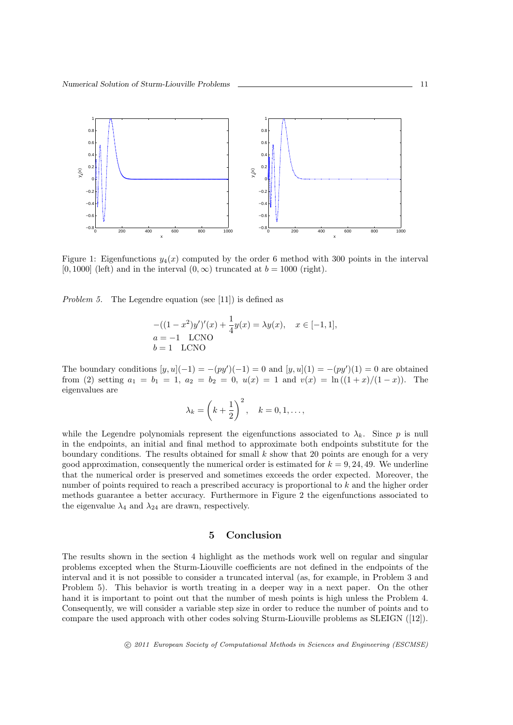

Figure 1: Eigenfunctions  $y_4(x)$  computed by the order 6 method with 300 points in the interval [0, 1000] (left) and in the interval  $(0, \infty)$  truncated at  $b = 1000$  (right).

*Problem 5.* The Legendre equation (see [11]) is defined as

$$
-((1-x^2)y')'(x) + \frac{1}{4}y(x) = \lambda y(x), \quad x \in [-1, 1],
$$
  
\n
$$
a = -1
$$
 LCNO  
\n
$$
b = 1
$$
 LCNO

The boundary conditions  $[y, u](-1) = -(py')(-1) = 0$  and  $[y, u](1) = -(py')(1) = 0$  are obtained from (2) setting  $a_1 = b_1 = 1$ ,  $a_2 = b_2 = 0$ ,  $u(x) = 1$  and  $v(x) = \ln((1+x)/(1-x))$ . The eigenvalues are

$$
\lambda_k = \left(k + \frac{1}{2}\right)^2, \quad k = 0, 1, \dots,
$$

while the Legendre polynomials represent the eigenfunctions associated to  $\lambda_k$ . Since p is null in the endpoints, an initial and final method to approximate both endpoints substitute for the boundary conditions. The results obtained for small *k* show that 20 points are enough for a very good approximation, consequently the numerical order is estimated for  $k = 9, 24, 49$ . We underline that the numerical order is preserved and sometimes exceeds the order expected. Moreover, the number of points required to reach a prescribed accuracy is proportional to *k* and the higher order methods guarantee a better accuracy. Furthermore in Figure 2 the eigenfunctions associated to the eigenvalue  $\lambda_4$  and  $\lambda_{24}$  are drawn, respectively.

## **5 Conclusion**

The results shown in the section 4 highlight as the methods work well on regular and singular problems excepted when the Sturm-Liouville coefficients are not defined in the endpoints of the interval and it is not possible to consider a truncated interval (as, for example, in Problem 3 and Problem 5). This behavior is worth treating in a deeper way in a next paper. On the other hand it is important to point out that the number of mesh points is high unless the Problem 4. Consequently, we will consider a variable step size in order to reduce the number of points and to compare the used approach with other codes solving Sturm-Liouville problems as SLEIGN ([12]).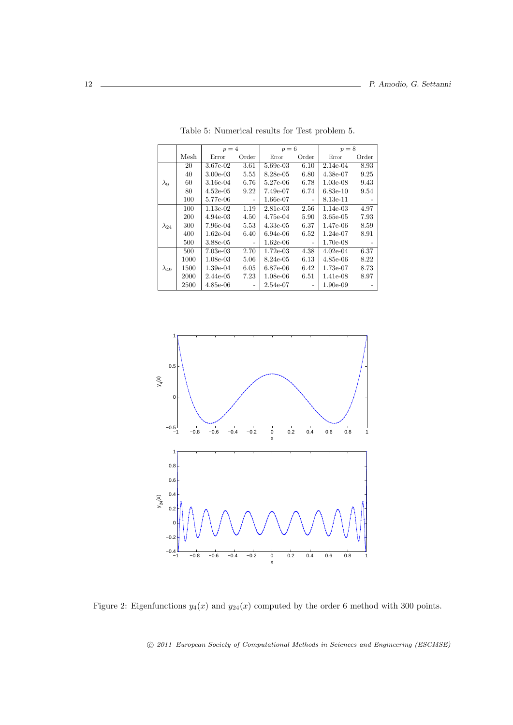|                |      | $p=4$       |       | $p=6$       |       | $p=8$      |       |
|----------------|------|-------------|-------|-------------|-------|------------|-------|
|                | Mesh | Error       | Order | Error       | Order | Error      | Order |
|                | 20   | 3.67e-02    | 3.61  | 5.69e-03    | 6.10  | 2.14e-04   | 8.93  |
|                | 40   | $3.00e-03$  | 5.55  | 8.28e-05    | 6.80  | $4.38e-07$ | 9.25  |
| $\lambda_9$    | 60   | 3.16e-04    | 6.76  | 5.27e-06    | 6.78  | $1.03e-08$ | 9.43  |
|                | 80   | $4.52e-0.5$ | 9.22  | 7.49e-07    | 6.74  | $6.83e-10$ | 9.54  |
|                | 100  | 5.77e-06    |       | 1.66e-07    | -     | 8.13e-11   |       |
| $\lambda_{24}$ | 100  | $1.13e-02$  | 1.19  | 2.81e-03    | 2.56  | 1.14e-03   | 4.97  |
|                | 200  | $4.94e-0.3$ | 4.50  | 4.75e-04    | 5.90  | 3.65e-05   | 7.93  |
|                | 300  | 7.96e-04    | 5.53  | $4.33e-0.5$ | 6.37  | 1.47e-06   | 8.59  |
|                | 400  | $1.62e-04$  | 6.40  | $6.94e-06$  | 6.52  | 1.24e-07   | 8.91  |
|                | 500  | 3.88e-05    |       | 1.62e-06    |       | 1.70e-08   |       |
| $\lambda_{49}$ | 500  | $7.03e-03$  | 2.70  | $1.72e-0.3$ | 4.38  | $4.02e-04$ | 6.37  |
|                | 1000 | $1.08e-03$  | 5.06  | 8.24e-05    | 6.13  | $4.85e-06$ | 8.22  |
|                | 1500 | $1.39e-04$  | 6.05  | 6.87e-06    | 6.42  | 1.73e-07   | 8.73  |
|                | 2000 | $2.44e-05$  | 7.23  | $1.08e-06$  | 6.51  | 1.41e-08   | 8.97  |
|                | 2500 | 4.85e-06    |       | 2.54e-07    |       | 1.90e-09   |       |

Table 5: Numerical results for Test problem 5.



Figure 2: Eigenfunctions  $y_4(x)$  and  $y_{24}(x)$  computed by the order 6 method with 300 points.